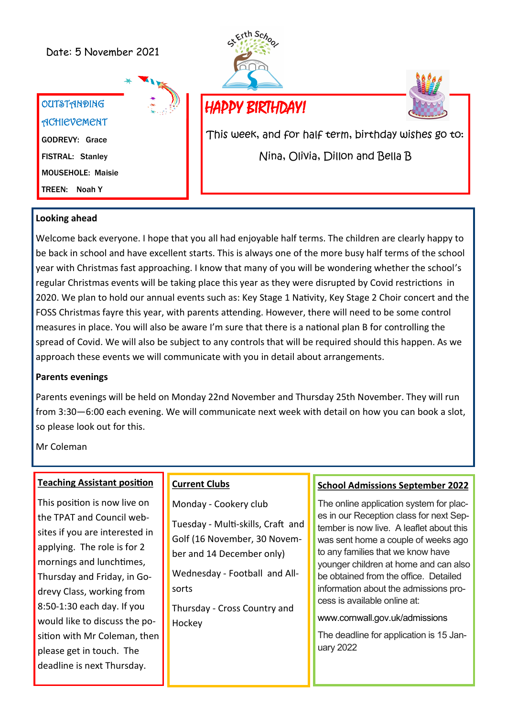# Date: 5 November 2021







This week, and for half term, birthday wishes go to: Nina, Olivia, Dillon and Bella B

## **Looking ahead**

Welcome back everyone. I hope that you all had enjoyable half terms. The children are clearly happy to be back in school and have excellent starts. This is always one of the more busy half terms of the school year with Christmas fast approaching. I know that many of you will be wondering whether the school's regular Christmas events will be taking place this year as they were disrupted by Covid restrictions in 2020. We plan to hold our annual events such as: Key Stage 1 Nativity, Key Stage 2 Choir concert and the FOSS Christmas fayre this year, with parents attending. However, there will need to be some control measures in place. You will also be aware I'm sure that there is a national plan B for controlling the spread of Covid. We will also be subject to any controls that will be required should this happen. As we approach these events we will communicate with you in detail about arrangements.

### **Parents evenings**

Parents evenings will be held on Monday 22nd November and Thursday 25th November. They will run from 3:30—6:00 each evening. We will communicate next week with detail on how you can book a slot, so please look out for this.

Mr Coleman

#### **Teaching Assistant position**

This position is now live on the TPAT and Council websites if you are interested in applying. The role is for 2 mornings and lunchtimes, Thursday and Friday, in Godrevy Class, working from 8:50-1:30 each day. If you would like to discuss the position with Mr Coleman, then please get in touch. The deadline is next Thursday.

## **Current Clubs**

Monday - Cookery club

Tuesday - Multi-skills, Craft and Golf (16 November, 30 November and 14 December only)

Wednesday - Football and Allsorts

Thursday - Cross Country and Hockey

#### **School Admissions September 2022**

The online application system for places in our Reception class for next September is now live. A leaflet about this was sent home a couple of weeks ago to any families that we know have younger children at home and can also be obtained from the office. Detailed information about the admissions process is available online at:

[www.cornwall.gov.uk/admissions](http://www.cornwall.gov.uk/admissions)

The deadline for application is 15 January 2022